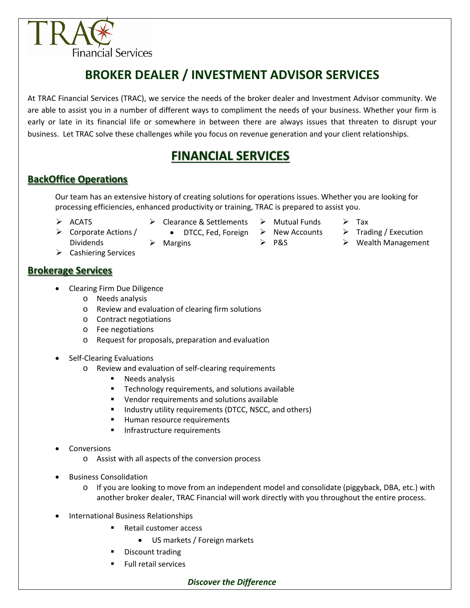

# **BROKER DEALER / INVESTMENT ADVISOR SERVICES**

At TRAC Financial Services (TRAC), we service the needs of the broker dealer and Investment Advisor community. We are able to assist you in a number of different ways to compliment the needs of your business. Whether your firm is early or late in its financial life or somewhere in between there are always issues that threaten to disrupt your business. Let TRAC solve these challenges while you focus on revenue generation and your client relationships.

## **FINANCIAL SERVICES**

### **BackOffice Operations**

Our team has an extensive history of creating solutions for operations issues. Whether you are looking for processing efficiencies, enhanced productivity or training, TRAC is prepared to assist you.

- $\triangleright$  ACATS
- **►** Clearance & Settlements
	- DTCC, Fed, Foreign
		- $\triangleright$  New Accounts
			- - $\geq$  P&S

 $\triangleright$  Mutual Funds

- $\triangleright$  Tax
- $\triangleright$  Trading / Execution
- $\triangleright$  Wealth Management
- $\triangleright$  Corporate Actions / Dividends
- $\triangleright$  Cashiering Services

#### **Brokerage Services**

- Clearing Firm Due Diligence
	- o Needs analysis
	- o Review and evaluation of clearing firm solutions

 $\triangleright$  Margins

- o Contract negotiations
- o Fee negotiations
- o Request for proposals, preparation and evaluation
- Self-Clearing Evaluations
	- o Review and evaluation of self-clearing requirements
		- **Needs analysis**
		- **Technology requirements, and solutions available**
		- Vendor requirements and solutions available
		- **Industry utility requirements (DTCC, NSCC, and others)**
		- Human resource requirements
		- Infrastructure requirements
- **Conversions** 
	- o Assist with all aspects of the conversion process
- Business Consolidation
	- $\circ$  If you are looking to move from an independent model and consolidate (piggyback, DBA, etc.) with another broker dealer, TRAC Financial will work directly with you throughout the entire process.
- International Business Relationships
	- Retail customer access
		- US markets / Foreign markets
	- Discount trading
	- Full retail services

#### *Discover the Difference*

- 
-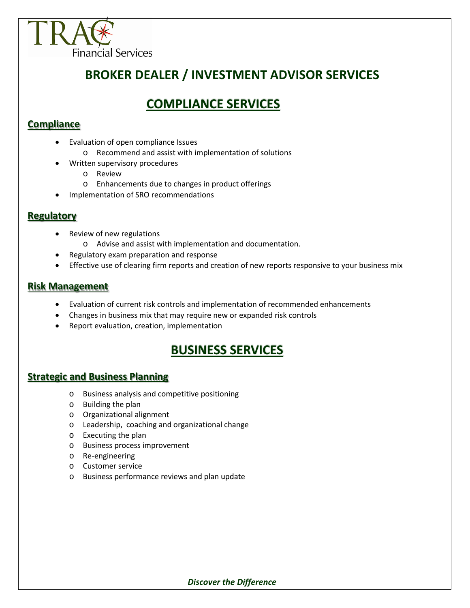

## **BROKER DEALER / INVESTMENT ADVISOR SERVICES**

### **COMPLIANCE SERVICES**

#### **Compliance**

- Evaluation of open compliance Issues
	- o Recommend and assist with implementation of solutions
	- Written supervisory procedures
		- o Review
		- o Enhancements due to changes in product offerings
- Implementation of SRO recommendations

#### **Regulatory**

- Review of new regulations
	- o Advise and assist with implementation and documentation.
- Regulatory exam preparation and response
- Effective use of clearing firm reports and creation of new reports responsive to your business mix

#### **Risk Management**

- Evaluation of current risk controls and implementation of recommended enhancements
- Changes in business mix that may require new or expanded risk controls
- Report evaluation, creation, implementation

### **BUSINESS SERVICES**

### **Strategic and Business Planning**

- o Business analysis and competitive positioning
- o Building the plan
- o Organizational alignment
- o Leadership, coaching and organizational change
- o Executing the plan
- o Business process improvement
- o Re-engineering
- o Customer service
- o Business performance reviews and plan update

#### *Discover the Difference*